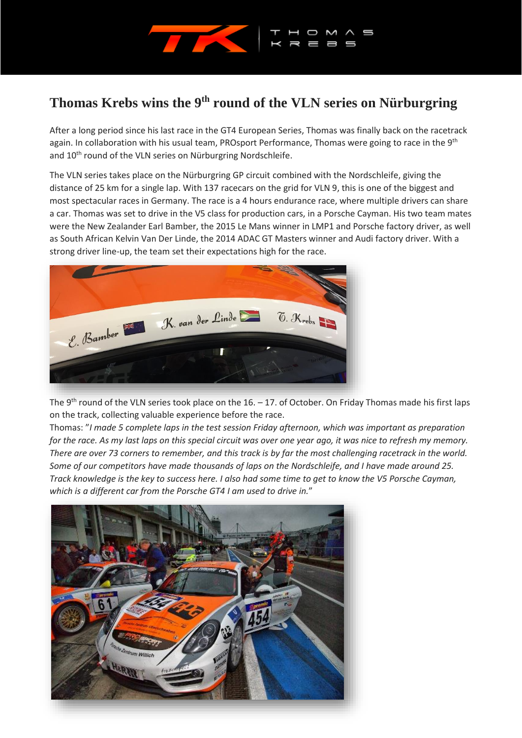

## **Thomas Krebs wins the 9th round of the VLN series on Nürburgring**

After a long period since his last race in the GT4 European Series, Thomas was finally back on the racetrack again. In collaboration with his usual team, PROsport Performance, Thomas were going to race in the 9<sup>th</sup> and 10<sup>th</sup> round of the VLN series on Nürburgring Nordschleife.

The VLN series takes place on the Nürburgring GP circuit combined with the Nordschleife, giving the distance of 25 km for a single lap. With 137 racecars on the grid for VLN 9, this is one of the biggest and most spectacular races in Germany. The race is a 4 hours endurance race, where multiple drivers can share a car. Thomas was set to drive in the V5 class for production cars, in a Porsche Cayman. His two team mates were the New Zealander Earl Bamber, the 2015 Le Mans winner in LMP1 and Porsche factory driver, as well as South African Kelvin Van Der Linde, the 2014 ADAC GT Masters winner and Audi factory driver. With a strong driver line-up, the team set their expectations high for the race.



The 9<sup>th</sup> round of the VLN series took place on the 16. – 17. of October. On Friday Thomas made his first laps on the track, collecting valuable experience before the race.

Thomas: "*I made 5 complete laps in the test session Friday afternoon, which was important as preparation for the race. As my last laps on this special circuit was over one year ago, it was nice to refresh my memory. There are over 73 corners to remember, and this track is by far the most challenging racetrack in the world. Some of our competitors have made thousands of laps on the Nordschleife, and I have made around 25. Track knowledge is the key to success here. I also had some time to get to know the V5 Porsche Cayman, which is a different car from the Porsche GT4 I am used to drive in.*"

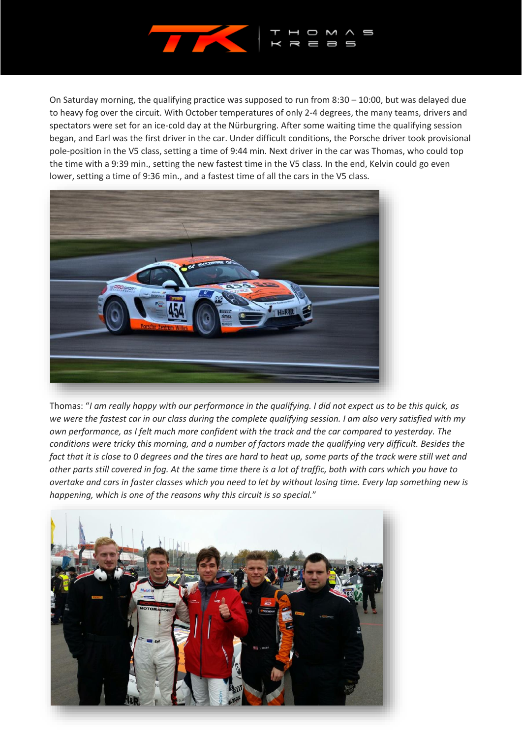

On Saturday morning, the qualifying practice was supposed to run from 8:30 – 10:00, but was delayed due to heavy fog over the circuit. With October temperatures of only 2-4 degrees, the many teams, drivers and spectators were set for an ice-cold day at the Nürburgring. After some waiting time the qualifying session began, and Earl was the first driver in the car. Under difficult conditions, the Porsche driver took provisional pole-position in the V5 class, setting a time of 9:44 min. Next driver in the car was Thomas, who could top the time with a 9:39 min., setting the new fastest time in the V5 class. In the end, Kelvin could go even lower, setting a time of 9:36 min., and a fastest time of all the cars in the V5 class.



Thomas: "*I am really happy with our performance in the qualifying. I did not expect us to be this quick, as we were the fastest car in our class during the complete qualifying session. I am also very satisfied with my own performance, as I felt much more confident with the track and the car compared to yesterday. The conditions were tricky this morning, and a number of factors made the qualifying very difficult. Besides the fact that it is close to 0 degrees and the tires are hard to heat up, some parts of the track were still wet and other parts still covered in fog. At the same time there is a lot of traffic, both with cars which you have to overtake and cars in faster classes which you need to let by without losing time. Every lap something new is happening, which is one of the reasons why this circuit is so special.*"